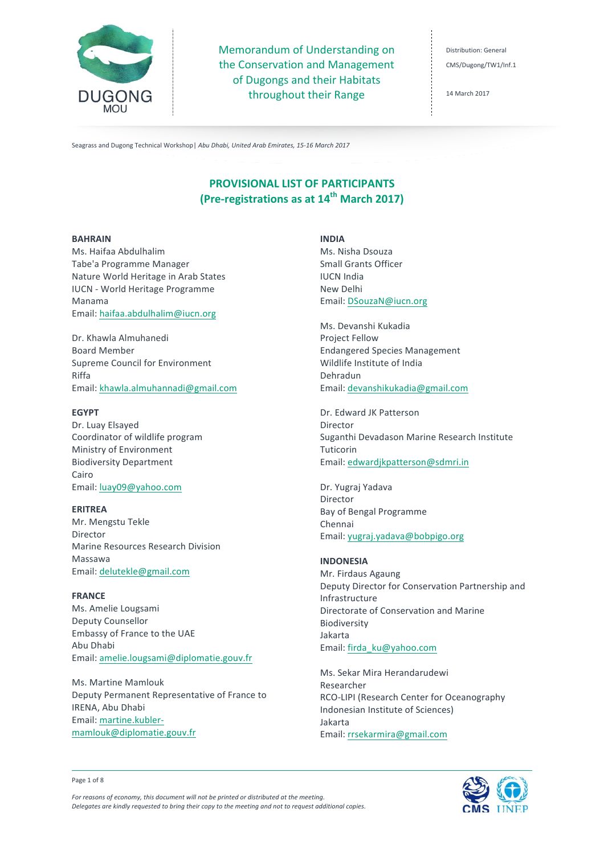

Memorandum of Understanding on the Conservation and Management of Dugongs and their Habitats throughout their Range

Distribution: General CMS/Dugong/TW1/Inf.1

14 March 2017

Seagrass and Dugong Technical Workshop | Abu Dhabi, United Arab Emirates, 15-16 March 2017

# **PROVISIONAL LIST OF PARTICIPANTS (Pre-registrations as at 14th March 2017)**

### **BAHRAIN**

Ms. Haifaa Abdulhalim Tabe'a Programme Manager Nature World Heritage in Arab States IUCN - World Heritage Programme Manama Email: haifaa.abdulhalim@iucn.org

Dr. Khawla Almuhanedi Board Member Supreme Council for Environment Riffa Email: khawla.almuhannadi@gmail.com

### **EGYPT**

Dr. Luay Elsayed Coordinator of wildlife program Ministry of Environment Biodiversity Department Cairo Email: luay09@yahoo.com

### **ERITREA**

Mr. Mengstu Tekle Director Marine Resources Research Division Massawa Email: delutekle@gmail.com

# **FRANCE**

Ms. Amelie Lougsami Deputy Counsellor Embassy of France to the UAE Abu Dhabi Email: amelie.lougsami@diplomatie.gouv.fr

Ms. Martine Mamlouk Deputy Permanent Representative of France to IRENA, Abu Dhabi Email: martine.kublermamlouk@diplomatie.gouv.fr

**INDIA** Ms. Nisha Dsouza Small Grants Officer **IUCN** India New Delhi Email: DSouzaN@iucn.org

Ms. Devanshi Kukadia Project Fellow Endangered Species Management Wildlife Institute of India Dehradun Email: devanshikukadia@gmail.com

Dr. Edward JK Patterson Director Suganthi Devadason Marine Research Institute Tuticorin Email: edwardjkpatterson@sdmri.in

Dr. Yugraj Yadava Director Bay of Bengal Programme Chennai Email: yugraj.yadava@bobpigo.org

# **INDONESIA**

Mr. Firdaus Agaung Deputy Director for Conservation Partnership and Infrastructure Directorate of Conservation and Marine Biodiversity Jakarta Email: firda\_ku@yahoo.com

Ms. Sekar Mira Herandarudewi Researcher RCO-LIPI (Research Center for Oceanography Indonesian Institute of Sciences) Jakarta Email: rrsekarmira@gmail.com



Page 1 of 8

For reasons of economy, this document will not be printed or distributed at the meeting. *Delegates are kindly requested to bring their copy to the meeting and not to request additional copies.*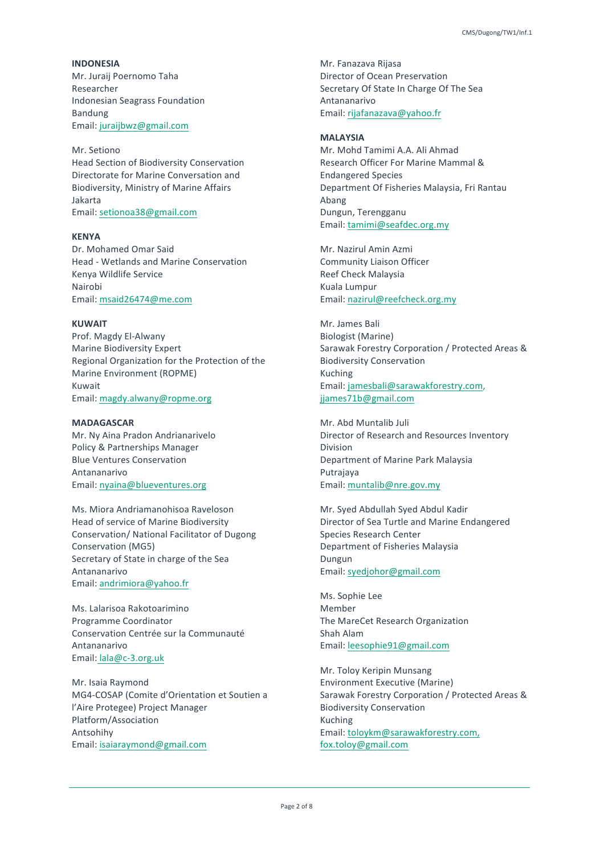**INDONESIA** Mr. Juraii Poernomo Taha Researcher Indonesian Seagrass Foundation Bandung Email: juraijbwz@gmail.com

Mr. Setiono Head Section of Biodiversity Conservation Directorate for Marine Conversation and Biodiversity, Ministry of Marine Affairs Jakarta Email: setionoa38@gmail.com

### **KENYA**

Dr. Mohamed Omar Said Head - Wetlands and Marine Conservation Kenya Wildlife Service Nairobi Email: msaid26474@me.com

# **KUWAIT**

Prof. Magdy El-Alwany Marine Biodiversity Expert Regional Organization for the Protection of the Marine Environment (ROPME) Kuwait Email: magdy.alwany@ropme.org

# **MADAGASCAR**

Mr. Ny Aina Pradon Andrianarivelo Policy & Partnerships Manager Blue Ventures Conservation Antananarivo Email: nyaina@blueventures.org

Ms. Miora Andriamanohisoa Raveloson Head of service of Marine Biodiversity Conservation/ National Facilitator of Dugong Conservation (MG5) Secretary of State in charge of the Sea Antananarivo Email: andrimiora@yahoo.fr

Ms. Lalarisoa Rakotoarimino Programme Coordinator Conservation Centrée sur la Communauté Antananarivo Email: lala@c-3.org.uk

Mr. Isaia Raymond MG4-COSAP (Comite d'Orientation et Soutien a l'Aire Protegee) Project Manager Platform/Association Antsohihy Email: isaiaraymond@gmail.com

Mr. Fanazava Rijasa Director of Ocean Preservation Secretary Of State In Charge Of The Sea Antananarivo Email: rijafanazava@yahoo.fr

# **MALAYSIA**

Mr. Mohd Tamimi A.A. Ali Ahmad Research Officer For Marine Mammal & Endangered Species Department Of Fisheries Malaysia, Fri Rantau Abang Dungun, Terengganu Email: tamimi@seafdec.org.my

Mr. Nazirul Amin Azmi Community Liaison Officer Reef Check Malaysia Kuala Lumpur Email: nazirul@reefcheck.org.my

Mr. James Bali Biologist (Marine) Sarawak Forestry Corporation / Protected Areas & Biodiversity Conservation Kuching Email: jamesbali@sarawakforestry.com, jjames71b@gmail.com

Mr. Abd Muntalib Juli Director of Research and Resources Inventory Division Department of Marine Park Malaysia Putrajaya Email: muntalib@nre.gov.my

Mr. Syed Abdullah Syed Abdul Kadir Director of Sea Turtle and Marine Endangered Species Research Center Department of Fisheries Malaysia Dungun Email: syedjohor@gmail.com

Ms. Sophie Lee **Mamhar** The MareCet Research Organization Shah Alam Email: leesophie91@gmail.com

Mr. Toloy Keripin Munsang Environment Executive (Marine) Sarawak Forestry Corporation / Protected Areas & Biodiversity Conservation Kuching Email: toloykm@sarawakforestry.com, fox.toloy@gmail.com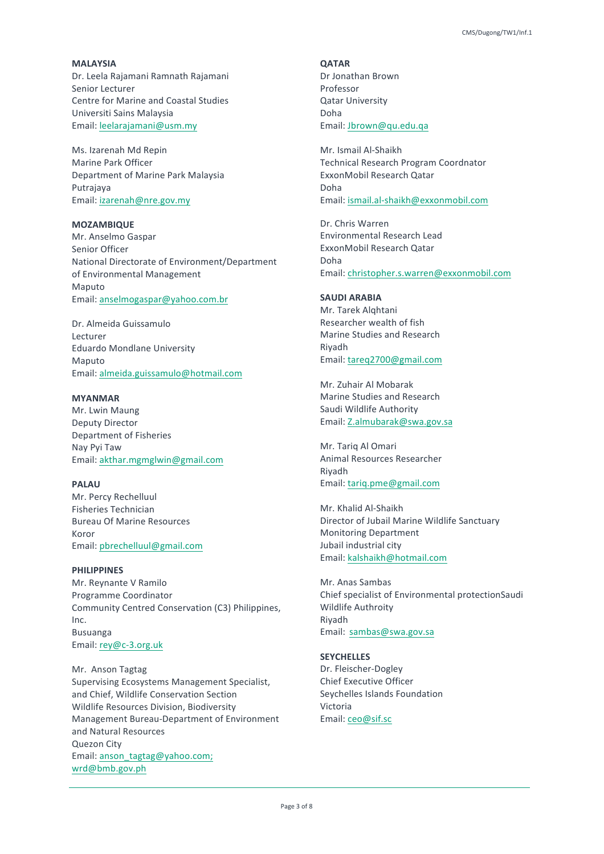**MALAYSIA** Dr. Leela Rajamani Ramnath Rajamani Senior Lecturer Centre for Marine and Coastal Studies Universiti Sains Malaysia Email: leelarajamani@usm.my

Ms. Izarenah Md Repin Marine Park Officer Department of Marine Park Malaysia Putrajaya Email: izarenah@nre.gov.my

### **MOZAMBIQUE**

Mr. Anselmo Gaspar Senior Officer National Directorate of Environment/Department of Environmental Management Maputo Email: anselmogaspar@yahoo.com.br

Dr. Almeida Guissamulo Lecturer Eduardo Mondlane University Maputo Email: almeida.guissamulo@hotmail.com

### **MYANMAR**

Mr. Lwin Maung Deputy Director Department of Fisheries Nay Pyi Taw Email: akthar.mgmglwin@gmail.com

### **PALAU**

Mr. Percy Rechelluul Fisheries Technician Bureau Of Marine Resources Koror Email: pbrechelluul@gmail.com

# **PHILIPPINES**

Mr. Reynante V Ramilo Programme Coordinator Community Centred Conservation (C3) Philippines, Inc. Busuanga Email: rey@c-3.org.uk

Mr. Anson Tagtag Supervising Ecosystems Management Specialist, and Chief, Wildlife Conservation Section Wildlife Resources Division, Biodiversity Management Bureau-Department of Environment and Natural Resources Quezon City Email: anson\_tagtag@yahoo.com; wrd@bmb.gov.ph

**QATAR** Dr Jonathan Brown Professor **Qatar University** Doha Email: Jbrown@qu.edu.qa

Mr. Ismail Al-Shaikh Technical Research Program Coordnator ExxonMobil Research Qatar Doha Email: ismail.al-shaikh@exxonmobil.com

Dr. Chris Warren Environmental Research Lead ExxonMobil Research Qatar Doha Email: christopher.s.warren@exxonmobil.com

# **SAUDI ARABIA**

Mr. Tarek Alghtani Researcher wealth of fish Marine Studies and Research Riyadh Email: tareq2700@gmail.com

Mr. Zuhair Al Mobarak Marine Studies and Research Saudi Wildlife Authority Email: Z.almubarak@swa.gov.sa

Mr. Tariq Al Omari Animal Resources Researcher Riyadh Email: tariq.pme@gmail.com

Mr. Khalid Al-Shaikh Director of Jubail Marine Wildlife Sanctuary Monitoring Department Jubail industrial city Email: kalshaikh@hotmail.com

Mr. Anas Sambas Chief specialist of Environmental protectionSaudi Wildlife Authroity Riyadh Email: sambas@swa.gov.sa

#### **SEYCHELLES**

Dr. Fleischer-Dogley Chief Executive Officer Seychelles Islands Foundation Victoria Email: ceo@sif.sc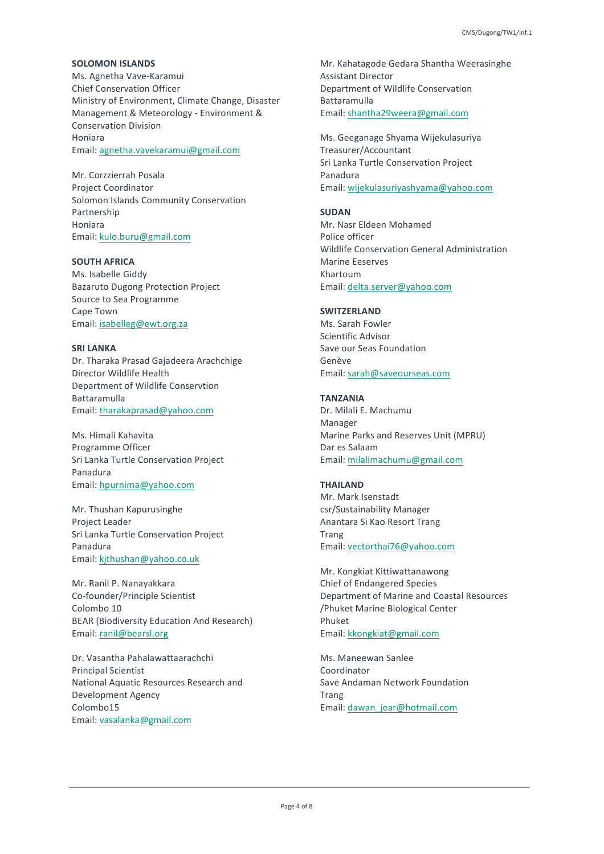### **SOLOMON ISLANDS**

Ms. Agnetha Vave-Karamui Chief Conservation Officer Ministry of Environment, Climate Change, Disaster Management & Meteorology - Environment & Conservation Division Honiara Email: agnetha.vavekaramui@gmail.com

Mr. Corzzierrah Posala Project Coordinator Solomon Islands Community Conservation Partnership Honiara Email: kulo.buru@gmail.com

# **SOUTH AFRICA**

Ms. Isabelle Giddy Bazaruto Dugong Protection Project Source to Sea Programme Cape Town Email: isabelleg@ewt.org.za

# **SRI LANKA**

Dr. Tharaka Prasad Gajadeera Arachchige Director Wildlife Health Department of Wildlife Conservtion Battaramulla Email: tharakaprasad@yahoo.com

Ms. Himali Kahavita Programme Officer Sri Lanka Turtle Conservation Project Panadura Email: hpurnima@yahoo.com

Mr. Thushan Kapurusinghe Project Leader Sri Lanka Turtle Conservation Project Panadura Email: kjthushan@yahoo.co.uk

Mr. Ranil P. Nanayakkara Co-founder/Principle Scientist Colombo 10 BEAR (Biodiversity Education And Research) Email: ranil@bearsl.org

Dr. Vasantha Pahalawattaarachchi Principal Scientist National Aquatic Resources Research and Development Agency Colombo15 Email: vasalanka@gmail.com

Mr. Kahatagode Gedara Shantha Weerasinghe Assistant Director Department of Wildlife Conservation Battaramulla Email: shantha29weera@gmail.com

Ms. Geeganage Shyama Wijekulasuriya Treasurer/Accountant Sri Lanka Turtle Conservation Project Panadura Email: wijekulasuriyashyama@yahoo.com

#### **SUDAN**

Mr. Nasr Eldeen Mohamed Police officer Wildlife Conservation General Administration **Marine Eeserves** Khartoum Email: delta.server@yahoo.com

# **SWITZERLAND**

Ms. Sarah Fowler Scientific Advisor Save our Seas Foundation Genève Email: sarah@saveourseas.com

#### **TANZANIA**

Dr. Milali E. Machumu Manager Marine Parks and Reserves Unit (MPRU) Dar es Salaam Email: milalimachumu@gmail.com

### **THAILAND**

Mr. Mark Isenstadt csr/Sustainability Manager Anantara Si Kao Resort Trang Trang Email: vectorthai76@yahoo.com

Mr. Kongkiat Kittiwattanawong Chief of Endangered Species Department of Marine and Coastal Resources /Phuket Marine Biological Center Phuket Email: kkongkiat@gmail.com

Ms. Maneewan Sanlee Coordinator Save Andaman Network Foundation Trang Email: dawan\_jear@hotmail.com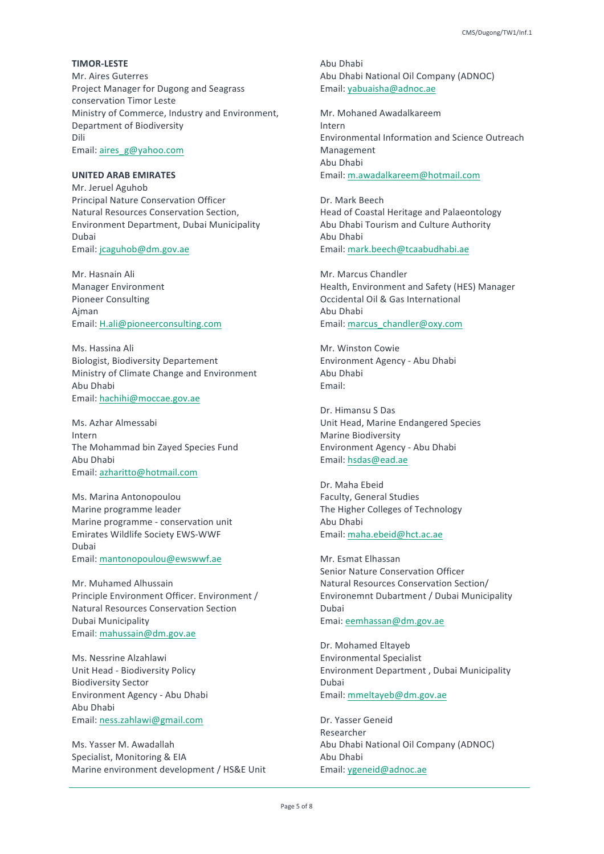### **TIMOR-LESTE**

Mr. Aires Guterres Project Manager for Dugong and Seagrass conservation Timor Leste Ministry of Commerce, Industry and Environment, Department of Biodiversity Dili Email: aires\_g@yahoo.com

# **UNITED ARAB EMIRATES**

Mr. Jeruel Aguhob Principal Nature Conservation Officer Natural Resources Conservation Section, Environment Department, Dubai Municipality Dubai Email: jcaguhob@dm.gov.ae

Mr. Hasnain Ali Manager Environment Pioneer Consulting Ajman Email: H.ali@pioneerconsulting.com

Ms. Hassina Ali **Biologist, Biodiversity Departement** Ministry of Climate Change and Environment Abu Dhabi Email: hachihi@moccae.gov.ae

Ms. Azhar Almessabi Intern The Mohammad bin Zayed Species Fund Abu Dhabi Email: azharitto@hotmail.com

Ms. Marina Antonopoulou Marine programme leader Marine programme - conservation unit Emirates Wildlife Society EWS-WWF Dubai Email: mantonopoulou@ewswwf.ae

Mr. Muhamed Alhussain Principle Environment Officer. Environment / Natural Resources Conservation Section Dubai Municipality Email: mahussain@dm.gov.ae

Ms. Nessrine Alzahlawi Unit Head - Biodiversity Policy Biodiversity Sector Environment Agency - Abu Dhabi Abu Dhabi Email: ness.zahlawi@gmail.com

Ms. Yasser M. Awadallah Specialist, Monitoring & EIA Marine environment development / HS&E Unit Abu Dhabi Abu Dhabi National Oil Company (ADNOC) Email: yabuaisha@adnoc.ae

Mr. Mohaned Awadalkareem Intern Environmental Information and Science Outreach Management Abu Dhabi Email: m.awadalkareem@hotmail.com

Dr. Mark Beech Head of Coastal Heritage and Palaeontology Abu Dhabi Tourism and Culture Authority Abu Dhabi Email: mark.beech@tcaabudhabi.ae

Mr. Marcus Chandler Health, Environment and Safety (HES) Manager Occidental Oil & Gas International Abu Dhabi Email: marcus\_chandler@oxy.com

Mr. Winston Cowie Environment Agency - Abu Dhabi Abu Dhabi Email: 

Dr. Himansu S Das Unit Head, Marine Endangered Species Marine Biodiversity Environment Agency - Abu Dhabi Email: hsdas@ead.ae

Dr. Maha Eheid Faculty, General Studies The Higher Colleges of Technology Abu Dhabi Email: maha.ebeid@hct.ac.ae

Mr. Esmat Elhassan Senior Nature Conservation Officer Natural Resources Conservation Section/ Environemnt Dubartment / Dubai Municipality Dubai Emai: eemhassan@dm.gov.ae

Dr. Mohamed Eltayeb Environmental Specialist Environment Department, Dubai Municipality Dubai Email: mmeltayeb@dm.gov.ae

Dr. Yasser Geneid Researcher Abu Dhabi National Oil Company (ADNOC) Abu Dhabi Email: ygeneid@adnoc.ae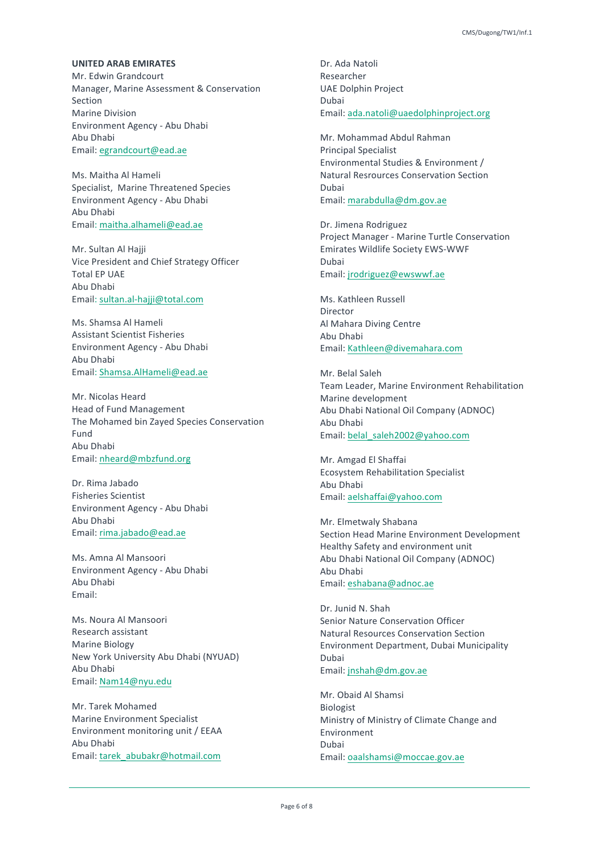### **UNITED ARAB EMIRATES**

Mr. Fdwin Grandcourt Manager, Marine Assessment & Conservation Section Marine Division Environment Agency - Abu Dhabi Abu Dhabi Email: egrandcourt@ead.ae

Ms. Maitha Al Hameli Specialist, Marine Threatened Species Environment Agency - Abu Dhabi Abu Dhabi Email: maitha.alhameli@ead.ae

Mr. Sultan Al Hajji Vice President and Chief Strategy Officer Total FP UAF Abu Dhabi Email: sultan.al-hajji@total.com

Ms. Shamsa Al Hameli Assistant Scientist Fisheries Environment Agency - Abu Dhabi Abu Dhabi Email: Shamsa.AlHameli@ead.ae

Mr. Nicolas Heard Head of Fund Management The Mohamed bin Zayed Species Conservation Fund Abu Dhabi Email: nheard@mbzfund.org

Dr. Rima Jabado Fisheries Scientist Environment Agency - Abu Dhabi Abu Dhabi Email: rima.jabado@ead.ae

Ms. Amna Al Mansoori Environment Agency - Abu Dhabi Abu Dhabi Email: 

Ms. Noura Al Mansoori Research assistant Marine Biology New York University Abu Dhabi (NYUAD) Abu Dhabi Email: Nam14@nyu.edu

Mr. Tarek Mohamed Marine Environment Specialist Environment monitoring unit / EEAA Abu Dhabi Email: tarek\_abubakr@hotmail.com

Dr. Ada Natoli Researcher UAE Dolphin Project Dubai Email: ada.natoli@uaedolphinproject.org

Mr. Mohammad Abdul Rahman Principal Specialist Environmental Studies & Environment / Natural Resrources Conservation Section Dubai Email: marabdulla@dm.gov.ae

Dr. Jimena Rodriguez Project Manager - Marine Turtle Conservation Emirates Wildlife Society EWS-WWF Dubai Email: jrodriguez@ewswwf.ae

Ms. Kathleen Russell Director Al Mahara Diving Centre Abu Dhabi Email: Kathleen@divemahara.com

Mr. Belal Saleh Team Leader, Marine Environment Rehabilitation Marine development Abu Dhabi National Oil Company (ADNOC) Abu Dhabi Email: belal\_saleh2002@yahoo.com

Mr. Amgad El Shaffai Ecosystem Rehabilitation Specialist Abu Dhabi Email: aelshaffai@yahoo.com

Mr. Flmetwaly Shabana Section Head Marine Environment Development Healthy Safety and environment unit Abu Dhabi National Oil Company (ADNOC) Abu Dhabi Email: eshabana@adnoc.ae

Dr. Junid N. Shah Senior Nature Conservation Officer Natural Resources Conservation Section Environment Department, Dubai Municipality Dubai Email: jnshah@dm.gov.ae

Mr. Obaid Al Shamsi Biologist Ministry of Ministry of Climate Change and Environment Dubai Email: oaalshamsi@moccae.gov.ae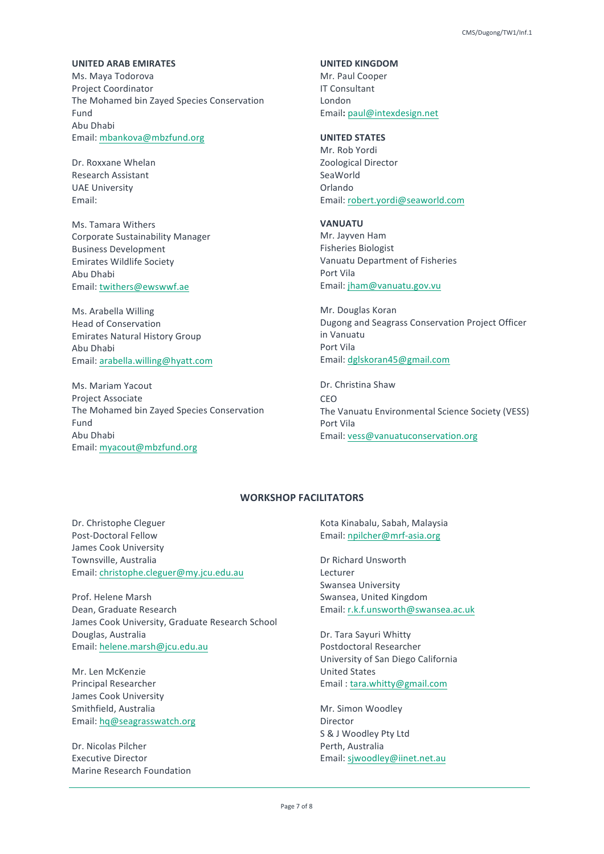### **UNITED ARAB EMIRATES**

Ms. Maya Todorova Project Coordinator The Mohamed bin Zayed Species Conservation Fund Abu Dhabi Email: mbankova@mbzfund.org

Dr. Roxxane Whelan Research Assistant **UAE** University Email: 

Ms. Tamara Withers Corporate Sustainability Manager Business Development Emirates Wildlife Society Abu Dhabi Email: twithers@ewswwf.ae

Ms. Arabella Willing Head of Conservation **Emirates Natural History Group** Abu Dhabi Email: arabella.willing@hyatt.com

Ms. Mariam Yacout Project Associate The Mohamed bin Zayed Species Conservation Fund Abu Dhabi Email: myacout@mbzfund.org

# **UNITED KINGDOM**

Mr. Paul Cooper **IT Consultant** London Email**:** paul@intexdesign.net

# **UNITED STATES**

Mr. Rob Yordi Zoological Director SeaWorld Orlando Email: robert.yordi@seaworld.com

**VANUATU**

Mr. Javven Ham Fisheries Biologist Vanuatu Department of Fisheries Port Vila Email: jham@vanuatu.gov.vu

Mr. Douglas Koran Dugong and Seagrass Conservation Project Officer in Vanuatu Port Vila Email: dglskoran45@gmail.com

Dr. Christina Shaw CEO The Vanuatu Environmental Science Society (VESS) Port Vila Email: vess@vanuatuconservation.org

# **WORKSHOP FACILITATORS**

Dr. Christophe Cleguer Post-Doctoral Fellow James Cook University Townsville, Australia Email: christophe.cleguer@my.jcu.edu.au

Prof. Helene Marsh Dean, Graduate Research James Cook University, Graduate Research School Douglas, Australia Email: helene.marsh@jcu.edu.au

Mr. Len McKenzie Principal Researcher James Cook University Smithfield, Australia Email: hq@seagrasswatch.org

Dr. Nicolas Pilcher Executive Director Marine Research Foundation Kota Kinabalu, Sabah, Malaysia Email: npilcher@mrf-asia.org

Dr Richard Unsworth Lecturer Swansea University Swansea, United Kingdom Email: r.k.f.unsworth@swansea.ac.uk

Dr. Tara Sayuri Whitty Postdoctoral Researcher University of San Diego California United States Email : tara.whitty@gmail.com

Mr. Simon Woodley Director S & J Woodley Pty Ltd Perth, Australia Email: sjwoodley@iinet.net.au